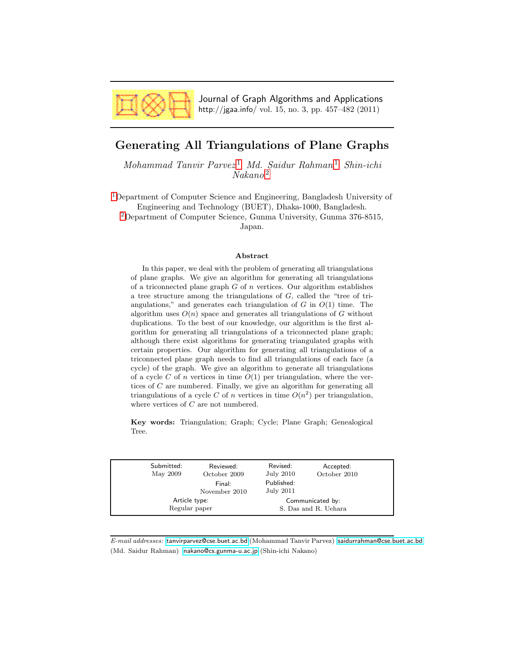

Journal of Graph Algorithms and Applications http://jgaa.info/ vol. 15, no. 3, pp. 457–482 (2011)

# <span id="page-0-0"></span>Generating All Triangulations of Plane Graphs

 $Mohammad$  Tanvir Parvez<sup>[1](#page-0-0)</sup> Md. Saidur Rahman<sup>1</sup> Shin-ichi Nakano [2](#page-0-0)

[1](#page-0-0)Department of Computer Science and Engineering, Bangladesh University of Engineering and Technology (BUET), Dhaka-1000, Bangladesh. [2](#page-0-0)Department of Computer Science, Gunma University, Gunma 376-8515,

Japan.

#### Abstract

In this paper, we deal with the problem of generating all triangulations of plane graphs. We give an algorithm for generating all triangulations of a triconnected plane graph  $G$  of  $n$  vertices. Our algorithm establishes a tree structure among the triangulations of G, called the "tree of triangulations," and generates each triangulation of  $G$  in  $O(1)$  time. The algorithm uses  $O(n)$  space and generates all triangulations of G without duplications. To the best of our knowledge, our algorithm is the first algorithm for generating all triangulations of a triconnected plane graph; although there exist algorithms for generating triangulated graphs with certain properties. Our algorithm for generating all triangulations of a triconnected plane graph needs to find all triangulations of each face (a cycle) of the graph. We give an algorithm to generate all triangulations of a cycle C of n vertices in time  $O(1)$  per triangulation, where the vertices of C are numbered. Finally, we give an algorithm for generating all triangulations of a cycle C of n vertices in time  $O(n^2)$  per triangulation, where vertices of C are not numbered.

Key words: Triangulation; Graph; Cycle; Plane Graph; Genealogical Tree.

| Submitted:<br>May 2009         | Reviewed:<br>October 2009 | Revised:<br>July 2010                    | Accepted:<br>October 2010 |  |
|--------------------------------|---------------------------|------------------------------------------|---------------------------|--|
|                                | Final:<br>November 2010   | Published:<br>July 2011                  |                           |  |
| Article type:<br>Regular paper |                           | Communicated by:<br>S. Das and R. Uehara |                           |  |
|                                |                           |                                          |                           |  |

E-mail addresses: [tanvirparvez@cse.buet.ac.bd](mailto:tanvirparvez@cse.buet.ac.bd) (Mohammad Tanvir Parvez) [saidurrahman@cse.buet.ac.bd](mailto:saidurrahman@cse.buet.ac.bd) (Md. Saidur Rahman) [nakano@cs.gunma-u.ac.jp](mailto:nakano@cs.gunma-u.ac.jp) (Shin-ichi Nakano)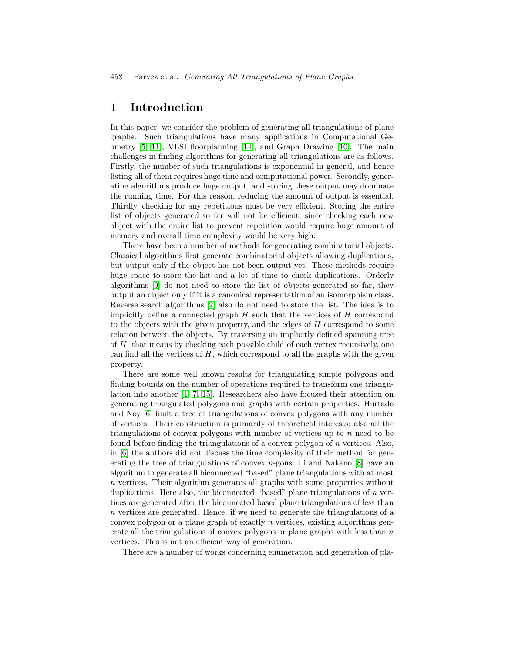# 1 Introduction

In this paper, we consider the problem of generating all triangulations of plane graphs. Such triangulations have many applications in Computational Geometry [\[5,](#page-25-0) [11\]](#page-25-1), VLSI floorplanning [\[14\]](#page-25-2), and Graph Drawing [\[10\]](#page-25-3). The main challenges in finding algorithms for generating all triangulations are as follows. Firstly, the number of such triangulations is exponential in general, and hence listing all of them requires huge time and computational power. Secondly, generating algorithms produce huge output, and storing these output may dominate the running time. For this reason, reducing the amount of output is essential. Thirdly, checking for any repetitions must be very efficient. Storing the entire list of objects generated so far will not be efficient, since checking each new object with the entire list to prevent repetition would require huge amount of memory and overall time complexity would be very high.

There have been a number of methods for generating combinatorial objects. Classical algorithms first generate combinatorial objects allowing duplications, but output only if the object has not been output yet. These methods require huge space to store the list and a lot of time to check duplications. Orderly algorithms [\[9\]](#page-25-4) do not need to store the list of objects generated so far, they output an object only if it is a canonical representation of an isomorphism class. Reverse search algorithms [\[2\]](#page-25-5) also do not need to store the list. The idea is to implicitly define a connected graph  $H$  such that the vertices of  $H$  correspond to the objects with the given property, and the edges of H correspond to some relation between the objects. By traversing an implicitly defined spanning tree of  $H$ , that means by checking each possible child of each vertex recursively, one can find all the vertices of  $H$ , which correspond to all the graphs with the given property.

There are some well known results for triangulating simple polygons and finding bounds on the number of operations required to transform one triangulation into another [\[4,](#page-25-6) [7,](#page-25-7) [15\]](#page-25-8). Researchers also have focused their attention on generating triangulated polygons and graphs with certain properties. Hurtado and Noy [\[6\]](#page-25-9) built a tree of triangulations of convex polygons with any number of vertices. Their construction is primarily of theoretical interests; also all the triangulations of convex polygons with number of vertices up to  $n$  need to be found before finding the triangulations of a convex polygon of  $n$  vertices. Also, in [\[6\]](#page-25-9) the authors did not discuss the time complexity of their method for generating the tree of triangulations of convex  $n$ -gons. Li and Nakano [\[8\]](#page-25-10) gave an algorithm to generate all biconnected "based" plane triangulations with at most n vertices. Their algorithm generates all graphs with some properties without duplications. Here also, the biconnected "based" plane triangulations of  $n$  vertices are generated after the biconnected based plane triangulations of less than n vertices are generated. Hence, if we need to generate the triangulations of a convex polygon or a plane graph of exactly  $n$  vertices, existing algorithms generate all the triangulations of convex polygons or plane graphs with less than  $n$ vertices. This is not an efficient way of generation.

There are a number of works concerning enumeration and generation of pla-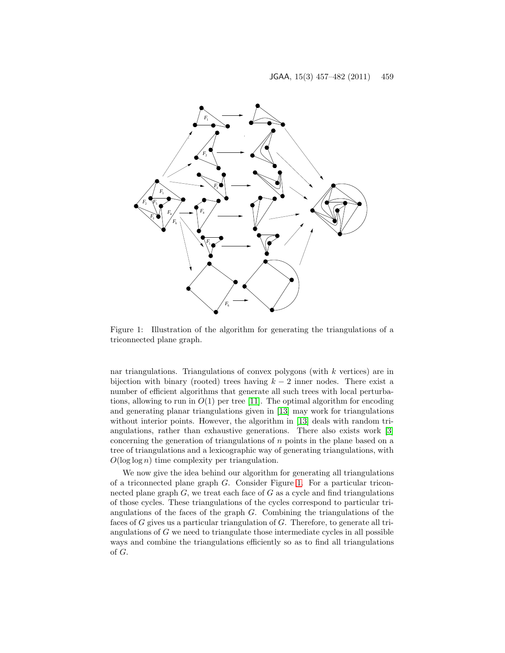

<span id="page-2-0"></span>Figure 1: Illustration of the algorithm for generating the triangulations of a triconnected plane graph.

nar triangulations. Triangulations of convex polygons (with k vertices) are in bijection with binary (rooted) trees having  $k - 2$  inner nodes. There exist a number of efficient algorithms that generate all such trees with local perturbations, allowing to run in  $O(1)$  per tree [\[11\]](#page-25-1). The optimal algorithm for encoding and generating planar triangulations given in [\[13\]](#page-25-11) may work for triangulations without interior points. However, the algorithm in [\[13\]](#page-25-11) deals with random triangulations, rather than exhaustive generations. There also exists work [\[3\]](#page-25-12) concerning the generation of triangulations of n points in the plane based on a tree of triangulations and a lexicographic way of generating triangulations, with  $O(\log \log n)$  time complexity per triangulation.

We now give the idea behind our algorithm for generating all triangulations of a triconnected plane graph  $G$ . Consider Figure [1.](#page-2-0) For a particular triconnected plane graph  $G$ , we treat each face of  $G$  as a cycle and find triangulations of those cycles. These triangulations of the cycles correspond to particular triangulations of the faces of the graph G. Combining the triangulations of the faces of G gives us a particular triangulation of G. Therefore, to generate all triangulations of  $G$  we need to triangulate those intermediate cycles in all possible ways and combine the triangulations efficiently so as to find all triangulations of G.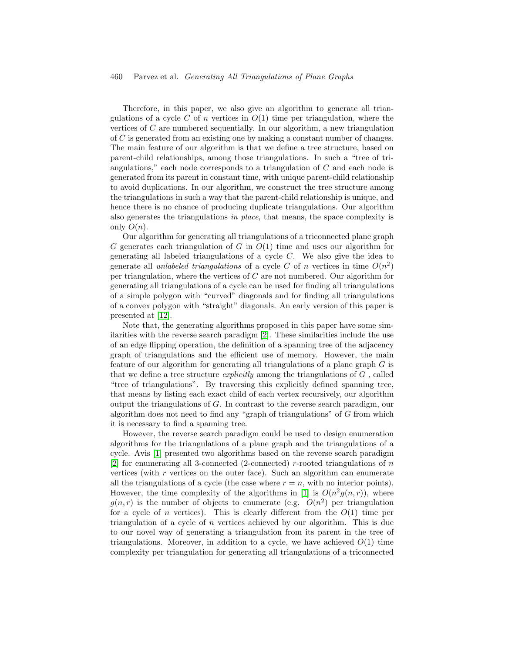#### 460 Parvez et al. Generating All Triangulations of Plane Graphs

Therefore, in this paper, we also give an algorithm to generate all triangulations of a cycle C of n vertices in  $O(1)$  time per triangulation, where the vertices of C are numbered sequentially. In our algorithm, a new triangulation of C is generated from an existing one by making a constant number of changes. The main feature of our algorithm is that we define a tree structure, based on parent-child relationships, among those triangulations. In such a "tree of triangulations," each node corresponds to a triangulation of  $C$  and each node is generated from its parent in constant time, with unique parent-child relationship to avoid duplications. In our algorithm, we construct the tree structure among the triangulations in such a way that the parent-child relationship is unique, and hence there is no chance of producing duplicate triangulations. Our algorithm also generates the triangulations in place, that means, the space complexity is only  $O(n)$ .

Our algorithm for generating all triangulations of a triconnected plane graph G generates each triangulation of G in  $O(1)$  time and uses our algorithm for generating all labeled triangulations of a cycle C. We also give the idea to generate all unlabeled triangulations of a cycle C of n vertices in time  $O(n^2)$ per triangulation, where the vertices of  $C$  are not numbered. Our algorithm for generating all triangulations of a cycle can be used for finding all triangulations of a simple polygon with "curved" diagonals and for finding all triangulations of a convex polygon with "straight" diagonals. An early version of this paper is presented at [\[12\]](#page-25-13).

Note that, the generating algorithms proposed in this paper have some similarities with the reverse search paradigm [\[2\]](#page-25-5). These similarities include the use of an edge flipping operation, the definition of a spanning tree of the adjacency graph of triangulations and the efficient use of memory. However, the main feature of our algorithm for generating all triangulations of a plane graph G is that we define a tree structure *explicitly* among the triangulations of  $G$ , called "tree of triangulations". By traversing this explicitly defined spanning tree, that means by listing each exact child of each vertex recursively, our algorithm output the triangulations of G. In contrast to the reverse search paradigm, our algorithm does not need to find any "graph of triangulations" of  $G$  from which it is necessary to find a spanning tree.

However, the reverse search paradigm could be used to design enumeration algorithms for the triangulations of a plane graph and the triangulations of a cycle. Avis [\[1\]](#page-25-14) presented two algorithms based on the reverse search paradigm [\[2\]](#page-25-5) for enumerating all 3-connected (2-connected) r-rooted triangulations of  $n$ vertices (with  $r$  vertices on the outer face). Such an algorithm can enumerate all the triangulations of a cycle (the case where  $r = n$ , with no interior points). However, the time complexity of the algorithms in [\[1\]](#page-25-14) is  $O(n^2g(n,r))$ , where  $g(n,r)$  is the number of objects to enumerate (e.g.  $O(n^2)$ ) per triangulation for a cycle of n vertices). This is clearly different from the  $O(1)$  time per triangulation of a cycle of n vertices achieved by our algorithm. This is due to our novel way of generating a triangulation from its parent in the tree of triangulations. Moreover, in addition to a cycle, we have achieved  $O(1)$  time complexity per triangulation for generating all triangulations of a triconnected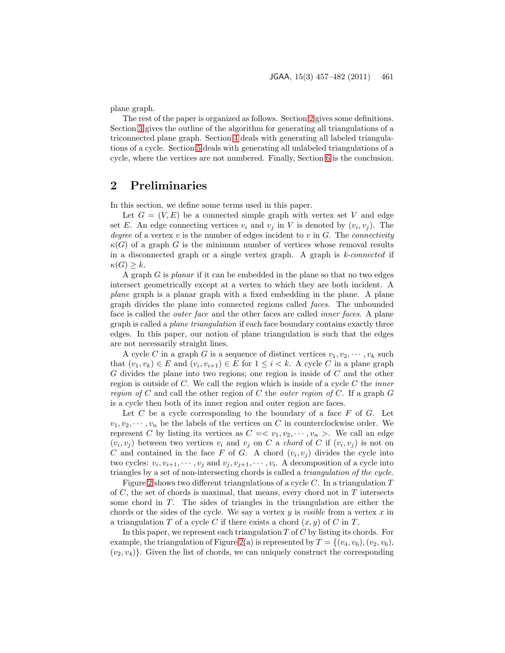plane graph.

The rest of the paper is organized as follows. Section [2](#page-4-0) gives some definitions. Section [3](#page-5-0) gives the outline of the algorithm for generating all triangulations of a triconnected plane graph. Section [4](#page-10-0) deals with generating all labeled triangulations of a cycle. Section [5](#page-20-0) deals with generating all unlabeled triangulations of a cycle, where the vertices are not numbered. Finally, Section [6](#page-24-0) is the conclusion.

# <span id="page-4-0"></span>2 Preliminaries

In this section, we define some terms used in this paper.

Let  $G = (V, E)$  be a connected simple graph with vertex set V and edge set E. An edge connecting vertices  $v_i$  and  $v_j$  in V is denoted by  $(v_i, v_j)$ . The degree of a vertex  $v$  is the number of edges incident to  $v$  in  $G$ . The *connectivity*  $\kappa(G)$  of a graph G is the minimum number of vertices whose removal results in a disconnected graph or a single vertex graph. A graph is  $k$ -connected if  $\kappa(G) \geq k$ .

A graph G is planar if it can be embedded in the plane so that no two edges intersect geometrically except at a vertex to which they are both incident. A plane graph is a planar graph with a fixed embedding in the plane. A plane graph divides the plane into connected regions called faces. The unbounded face is called the *outer face* and the other faces are called *inner faces*. A plane graph is called a plane triangulation if each face boundary contains exactly three edges. In this paper, our notion of plane triangulation is such that the edges are not necessarily straight lines.

A cycle C in a graph G is a sequence of distinct vertices  $v_1, v_2, \dots, v_k$  such that  $(v_1, v_k) \in E$  and  $(v_i, v_{i+1}) \in E$  for  $1 \leq i < k$ . A cycle C in a plane graph G divides the plane into two regions; one region is inside of C and the other region is outside of  $C$ . We call the region which is inside of a cycle  $C$  the *inner* region of C and call the other region of C the *outer region of* C. If a graph  $G$ is a cycle then both of its inner region and outer region are faces.

Let  $C$  be a cycle corresponding to the boundary of a face  $F$  of  $G$ . Let  $v_1, v_2, \dots, v_n$  be the labels of the vertices on C in counterclockwise order. We represent C by listing its vertices as  $C = \langle v_1, v_2, \dots, v_n \rangle$ . We call an edge  $(v_i, v_j)$  between two vertices  $v_i$  and  $v_j$  on C a chord of C if  $(v_i, v_j)$  is not on C and contained in the face F of G. A chord  $(v_i, v_j)$  divides the cycle into two cycles:  $v_i, v_{i+1}, \dots, v_j$  and  $v_j, v_{j+1}, \dots, v_i$ . A decomposition of a cycle into triangles by a set of non-intersecting chords is called a triangulation of the cycle.

Figure [2](#page-5-1) shows two different triangulations of a cycle  $C$ . In a triangulation  $T$ of  $C$ , the set of chords is maximal, that means, every chord not in  $T$  intersects some chord in  $T$ . The sides of triangles in the triangulation are either the chords or the sides of the cycle. We say a vertex  $y$  is *visible* from a vertex  $x$  in a triangulation T of a cycle C if there exists a chord  $(x, y)$  of C in T.

In this paper, we represent each triangulation  $T$  of  $C$  by listing its chords. For example, the triangulation of Figure [2\(](#page-5-1)a) is represented by  $T = \{(v_4, v_6), (v_2, v_6),$  $(v_2, v_4)$ . Given the list of chords, we can uniquely construct the corresponding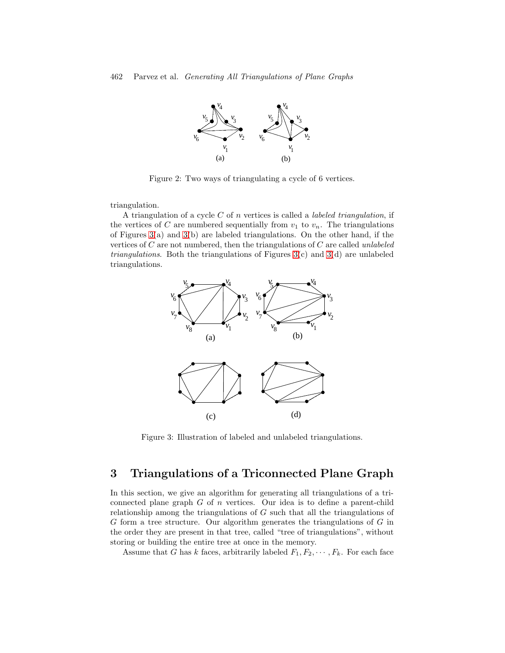

<span id="page-5-1"></span>Figure 2: Two ways of triangulating a cycle of 6 vertices.

triangulation.

A triangulation of a cycle C of n vertices is called a *labeled triangulation*, if the vertices of C are numbered sequentially from  $v_1$  to  $v_n$ . The triangulations of Figures  $3(a)$  and  $3(b)$  are labeled triangulations. On the other hand, if the vertices of  $C$  are not numbered, then the triangulations of  $C$  are called unlabeled *triangulations.* Both the triangulations of Figures  $3(c)$  and  $3(d)$  are unlabeled triangulations.



<span id="page-5-2"></span>Figure 3: Illustration of labeled and unlabeled triangulations.

# <span id="page-5-0"></span>3 Triangulations of a Triconnected Plane Graph

In this section, we give an algorithm for generating all triangulations of a triconnected plane graph  $G$  of  $n$  vertices. Our idea is to define a parent-child relationship among the triangulations of  $G$  such that all the triangulations of G form a tree structure. Our algorithm generates the triangulations of G in the order they are present in that tree, called "tree of triangulations", without storing or building the entire tree at once in the memory.

Assume that G has k faces, arbitrarily labeled  $F_1, F_2, \cdots, F_k$ . For each face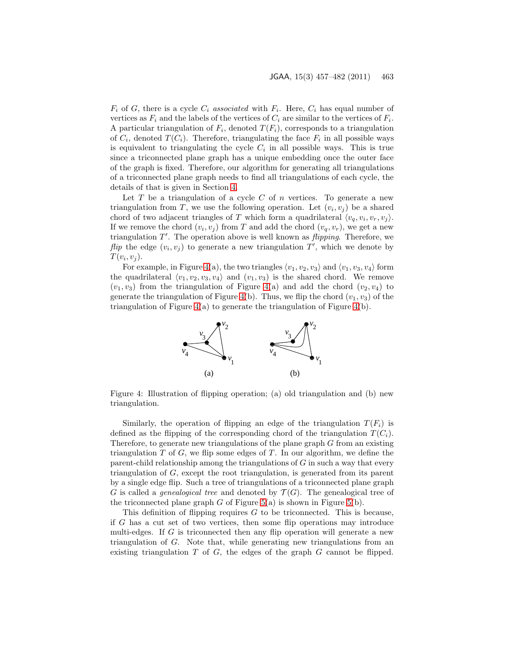$F_i$  of G, there is a cycle  $C_i$  associated with  $F_i$ . Here,  $C_i$  has equal number of vertices as  $F_i$  and the labels of the vertices of  $C_i$  are similar to the vertices of  $F_i$ . A particular triangulation of  $F_i$ , denoted  $T(F_i)$ , corresponds to a triangulation of  $C_i$ , denoted  $T(C_i)$ . Therefore, triangulating the face  $F_i$  in all possible ways is equivalent to triangulating the cycle  $C_i$  in all possible ways. This is true since a triconnected plane graph has a unique embedding once the outer face of the graph is fixed. Therefore, our algorithm for generating all triangulations of a triconnected plane graph needs to find all triangulations of each cycle, the details of that is given in Section [4.](#page-10-0)

Let T be a triangulation of a cycle C of n vertices. To generate a new triangulation from T, we use the following operation. Let  $(v_i, v_j)$  be a shared chord of two adjacent triangles of T which form a quadrilateral  $\langle v_q, v_i, v_r, v_j \rangle$ . If we remove the chord  $(v_i, v_j)$  from T and add the chord  $(v_q, v_r)$ , we get a new triangulation  $T'$ . The operation above is well known as *flipping*. Therefore, we flip the edge  $(v_i, v_j)$  to generate a new triangulation  $T'$ , which we denote by  $T(v_i, v_j)$ .

For example, in Figure [4\(](#page-6-0)a), the two triangles  $\langle v_1, v_2, v_3 \rangle$  and  $\langle v_1, v_3, v_4 \rangle$  form the quadrilateral  $\langle v_1, v_2, v_3, v_4 \rangle$  and  $(v_1, v_3)$  is the shared chord. We remove  $(v_1, v_3)$  from the triangulation of Figure [4\(](#page-6-0)a) and add the chord  $(v_2, v_4)$  to generate the triangulation of Figure [4\(](#page-6-0)b). Thus, we flip the chord  $(v_1, v_3)$  of the triangulation of Figure  $4(a)$  $4(a)$  to generate the triangulation of Figure  $4(b)$ .



<span id="page-6-0"></span>Figure 4: Illustration of flipping operation; (a) old triangulation and (b) new triangulation.

Similarly, the operation of flipping an edge of the triangulation  $T(F_i)$  is defined as the flipping of the corresponding chord of the triangulation  $T(C_i)$ . Therefore, to generate new triangulations of the plane graph  $G$  from an existing triangulation  $T$  of  $G$ , we flip some edges of  $T$ . In our algorithm, we define the parent-child relationship among the triangulations of G in such a way that every triangulation of G, except the root triangulation, is generated from its parent by a single edge flip. Such a tree of triangulations of a triconnected plane graph G is called a *genealogical tree* and denoted by  $\mathcal{T}(G)$ . The genealogical tree of the triconnected plane graph  $G$  of Figure [5\(](#page-7-0)a) is shown in Figure 5(b).

This definition of flipping requires  $G$  to be triconnected. This is because, if G has a cut set of two vertices, then some flip operations may introduce multi-edges. If G is triconnected then any flip operation will generate a new triangulation of  $G$ . Note that, while generating new triangulations from an existing triangulation  $T$  of  $G$ , the edges of the graph  $G$  cannot be flipped.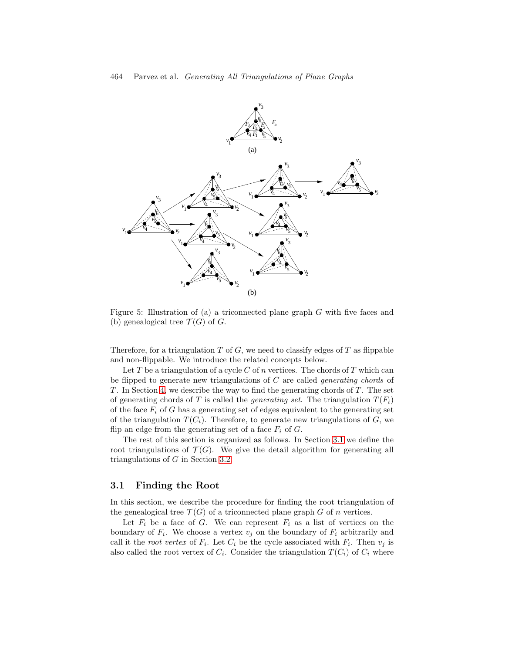

<span id="page-7-0"></span>Figure 5: Illustration of (a) a triconnected plane graph G with five faces and (b) genealogical tree  $\mathcal{T}(G)$  of G.

Therefore, for a triangulation  $T$  of  $G$ , we need to classify edges of  $T$  as flippable and non-flippable. We introduce the related concepts below.

Let T be a triangulation of a cycle C of n vertices. The chords of T which can be flipped to generate new triangulations of C are called generating chords of  $T$ . In Section [4,](#page-10-0) we describe the way to find the generating chords of  $T$ . The set of generating chords of T is called the *generating set*. The triangulation  $T(F_i)$ of the face  $F_i$  of G has a generating set of edges equivalent to the generating set of the triangulation  $T(C_i)$ . Therefore, to generate new triangulations of G, we flip an edge from the generating set of a face  $F_i$  of  $G$ .

The rest of this section is organized as follows. In Section [3.1](#page-7-1) we define the root triangulations of  $\mathcal{T}(G)$ . We give the detail algorithm for generating all triangulations of G in Section [3.2.](#page-9-0)

### <span id="page-7-1"></span>3.1 Finding the Root

In this section, we describe the procedure for finding the root triangulation of the genealogical tree  $\mathcal{T}(G)$  of a triconnected plane graph G of n vertices.

Let  $F_i$  be a face of G. We can represent  $F_i$  as a list of vertices on the boundary of  $F_i$ . We choose a vertex  $v_j$  on the boundary of  $F_i$  arbitrarily and call it the *root vertex* of  $F_i$ . Let  $C_i$  be the cycle associated with  $F_i$ . Then  $v_j$  is also called the root vertex of  $C_i$ . Consider the triangulation  $T(C_i)$  of  $C_i$  where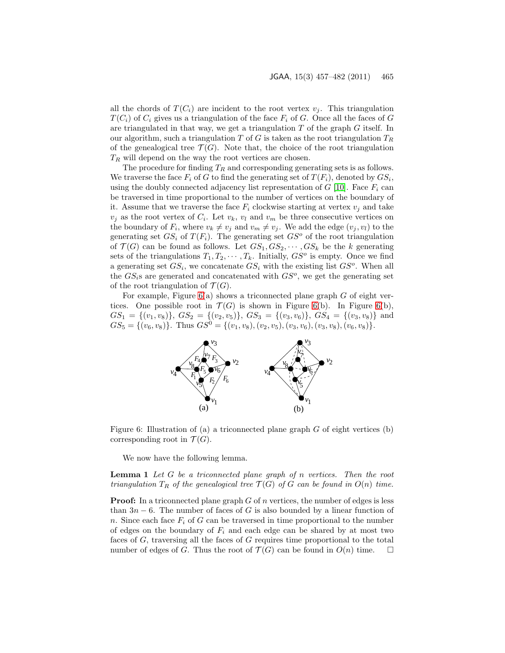all the chords of  $T(C_i)$  are incident to the root vertex  $v_i$ . This triangulation  $T(C_i)$  of  $C_i$  gives us a triangulation of the face  $F_i$  of G. Once all the faces of G are triangulated in that way, we get a triangulation  $T$  of the graph  $G$  itself. In our algorithm, such a triangulation T of G is taken as the root triangulation  $T_R$ of the genealogical tree  $\mathcal{T}(G)$ . Note that, the choice of the root triangulation  $T_R$  will depend on the way the root vertices are chosen.

The procedure for finding  $T_R$  and corresponding generating sets is as follows. We traverse the face  $F_i$  of G to find the generating set of  $T(F_i)$ , denoted by  $GS_i$ , using the doubly connected adjacency list representation of  $G$  [\[10\]](#page-25-3). Face  $F_i$  can be traversed in time proportional to the number of vertices on the boundary of it. Assume that we traverse the face  $F_i$  clockwise starting at vertex  $v_j$  and take  $v_j$  as the root vertex of  $C_i$ . Let  $v_k$ ,  $v_l$  and  $v_m$  be three consecutive vertices on the boundary of  $F_i$ , where  $v_k \neq v_j$  and  $v_m \neq v_j$ . We add the edge  $(v_j, v_l)$  to the generating set  $GS_i$  of  $T(F_i)$ . The generating set  $GS^o$  of the root triangulation of  $\mathcal{T}(G)$  can be found as follows. Let  $GS_1, GS_2, \cdots, GS_k$  be the k generating sets of the triangulations  $T_1, T_2, \cdots, T_k$ . Initially,  $GS^o$  is empty. Once we find a generating set  $GS_i$ , we concatenate  $GS_i$  with the existing list  $GS^o$ . When all the  $GS_i$ s are generated and concatenated with  $GS^o$ , we get the generating set of the root triangulation of  $\mathcal{T}(G)$ .

For example, Figure  $6(a)$  shows a triconnected plane graph G of eight vertices. One possible root in  $\mathcal{T}(G)$  is shown in Figure [6\(](#page-8-0)b). In Figure 6(b),  $GS_1 = \{(v_1, v_8)\}, \, GS_2 = \{(v_2, v_5)\}, \, GS_3 = \{(v_3, v_6)\}, \, GS_4 = \{(v_3, v_8)\}$  and  $GS_5 = \{(v_6, v_8)\}\.$  Thus  $GS^0 = \{(v_1, v_8), (v_2, v_5), (v_3, v_6), (v_3, v_8), (v_6, v_8)\}.$ 



Figure 6: Illustration of (a) a triconnected plane graph  $G$  of eight vertices (b) corresponding root in  $\mathcal{T}(G)$ .

<span id="page-8-1"></span><span id="page-8-0"></span>We now have the following lemma.

**Lemma 1** Let  $G$  be a triconnected plane graph of  $n$  vertices. Then the root triangulation  $T_R$  of the genealogical tree  $\mathcal{T}(G)$  of G can be found in  $O(n)$  time.

**Proof:** In a triconnected plane graph  $G$  of  $n$  vertices, the number of edges is less than  $3n - 6$ . The number of faces of G is also bounded by a linear function of n. Since each face  $F_i$  of G can be traversed in time proportional to the number of edges on the boundary of  $F_i$  and each edge can be shared by at most two faces of G, traversing all the faces of G requires time proportional to the total number of edges of G. Thus the root of  $\mathcal{T}(G)$  can be found in  $O(n)$  time.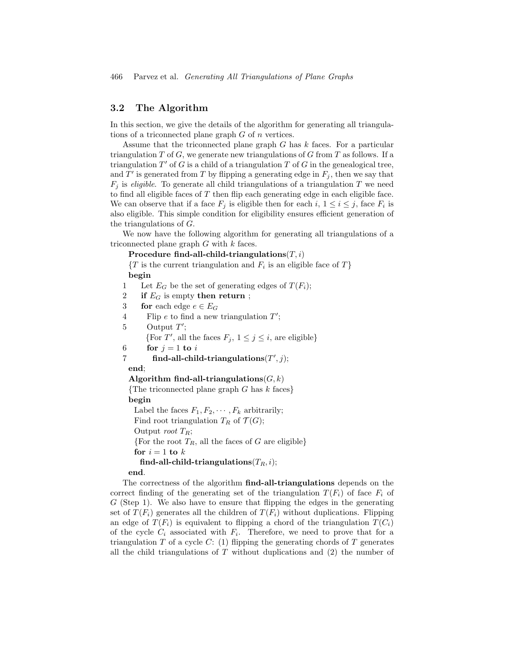### <span id="page-9-0"></span>3.2 The Algorithm

In this section, we give the details of the algorithm for generating all triangulations of a triconnected plane graph  $G$  of  $n$  vertices.

Assume that the triconnected plane graph  $G$  has  $k$  faces. For a particular triangulation T of G, we generate new triangulations of G from T as follows. If a triangulation  $T'$  of G is a child of a triangulation T of G in the genealogical tree, and  $\overline{T}'$  is generated from T by flipping a generating edge in  $F_j$ , then we say that  $F_i$  is *eligible*. To generate all child triangulations of a triangulation T we need to find all eligible faces of  $T$  then flip each generating edge in each eligible face. We can observe that if a face  $F_j$  is eligible then for each  $i, 1 \leq i \leq j$ , face  $F_i$  is also eligible. This simple condition for eligibility ensures efficient generation of the triangulations of G.

We now have the following algorithm for generating all triangulations of a triconnected plane graph G with k faces.

Procedure find-all-child-triangulations $(T, i)$ 

 $\{T \text{ is the current triangulation and } F_i \text{ is an eligible face of } T\}$ begin

1 Let  $E_G$  be the set of generating edges of  $T(F_i)$ ; 2 if  $E_G$  is empty then return; 3 for each edge  $e \in E_G$ 4 Flip  $e$  to find a new triangulation  $T'$ ; 5 Output  $T'$ ; {For T', all the faces  $F_j$ ,  $1 \leq j \leq i$ , are eligible} 6 for  $j = 1$  to i 7 find-all-child-triangulations $(T', j)$ ; end; Algorithm find-all-triangulations  $(G, k)$ {The triconnected plane graph  $G$  has  $k$  faces} begin Label the faces  $F_1, F_2, \cdots, F_k$  arbitrarily; Find root triangulation  $T_R$  of  $\mathcal{T}(G)$ ; Output *root*  $T_R$ ; {For the root  $T_R$ , all the faces of G are eligible} for  $i = 1$  to  $k$ find-all-child-triangulations( $T_R$ , i); end.

The correctness of the algorithm **find-all-triangulations** depends on the correct finding of the generating set of the triangulation  $T(F_i)$  of face  $F_i$  of  $G$  (Step 1). We also have to ensure that flipping the edges in the generating set of  $T(F_i)$  generates all the children of  $T(F_i)$  without duplications. Flipping an edge of  $T(F_i)$  is equivalent to flipping a chord of the triangulation  $T(C_i)$ of the cycle  $C_i$  associated with  $F_i$ . Therefore, we need to prove that for a triangulation  $T$  of a cycle  $C: (1)$  flipping the generating chords of  $T$  generates all the child triangulations of  $T$  without duplications and  $(2)$  the number of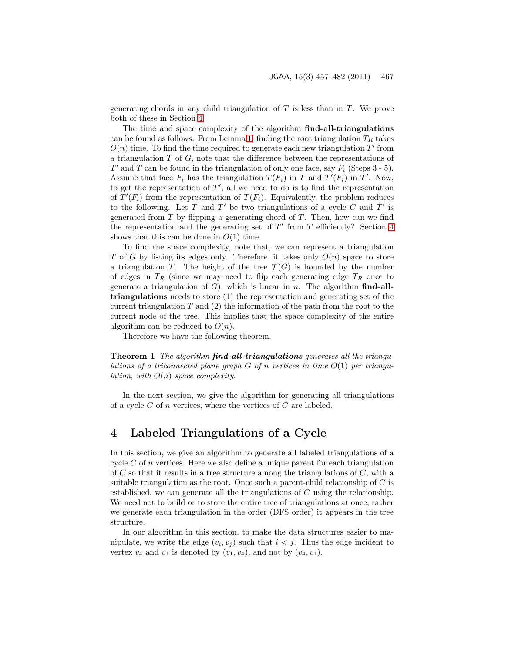generating chords in any child triangulation of  $T$  is less than in  $T$ . We prove both of these in Section [4.](#page-10-0)

The time and space complexity of the algorithm find-all-triangulations can be found as follows. From Lemma [1,](#page-8-1) finding the root triangulation  $T_R$  takes  $O(n)$  time. To find the time required to generate each new triangulation  $T'$  from a triangulation  $T$  of  $G$ , note that the difference between the representations of  $T'$  and  $\overline{T}$  can be found in the triangulation of only one face, say  $\overline{F_i}$  (Steps 3 - 5). Assume that face  $F_i$  has the triangulation  $T(F_i)$  in T and  $T'(F_i)$  in T'. Now, to get the representation of  $T'$ , all we need to do is to find the representation of  $T'(F_i)$  from the representation of  $T(F_i)$ . Equivalently, the problem reduces to the following. Let  $T$  and  $T'$  be two triangulations of a cycle  $C$  and  $T'$  is generated from  $T$  by flipping a generating chord of  $T$ . Then, how can we find the representation and the generating set of  $T'$  from  $T$  efficiently? Section [4](#page-10-0) shows that this can be done in  $O(1)$  time.

To find the space complexity, note that, we can represent a triangulation T of G by listing its edges only. Therefore, it takes only  $O(n)$  space to store a triangulation T. The height of the tree  $\mathcal{T}(G)$  is bounded by the number of edges in  $T_R$  (since we may need to flip each generating edge  $T_R$  once to generate a triangulation of  $G$ ), which is linear in n. The algorithm find-alltriangulations needs to store (1) the representation and generating set of the current triangulation  $T$  and  $(2)$  the information of the path from the root to the current node of the tree. This implies that the space complexity of the entire algorithm can be reduced to  $O(n)$ .

Therefore we have the following theorem.

**Theorem 1** The algorithm **find-all-triangulations** generates all the triangulations of a triconnected plane graph  $G$  of n vertices in time  $O(1)$  per triangu*lation, with*  $O(n)$  *space complexity.* 

In the next section, we give the algorithm for generating all triangulations of a cycle  $C$  of n vertices, where the vertices of  $C$  are labeled.

## <span id="page-10-0"></span>4 Labeled Triangulations of a Cycle

In this section, we give an algorithm to generate all labeled triangulations of a cycle  $C$  of n vertices. Here we also define a unique parent for each triangulation of  $C$  so that it results in a tree structure among the triangulations of  $C$ , with a suitable triangulation as the root. Once such a parent-child relationship of  $C$  is established, we can generate all the triangulations of C using the relationship. We need not to build or to store the entire tree of triangulations at once, rather we generate each triangulation in the order (DFS order) it appears in the tree structure.

In our algorithm in this section, to make the data structures easier to manipulate, we write the edge  $(v_i, v_j)$  such that  $i < j$ . Thus the edge incident to vertex  $v_4$  and  $v_1$  is denoted by  $(v_1, v_4)$ , and not by  $(v_4, v_1)$ .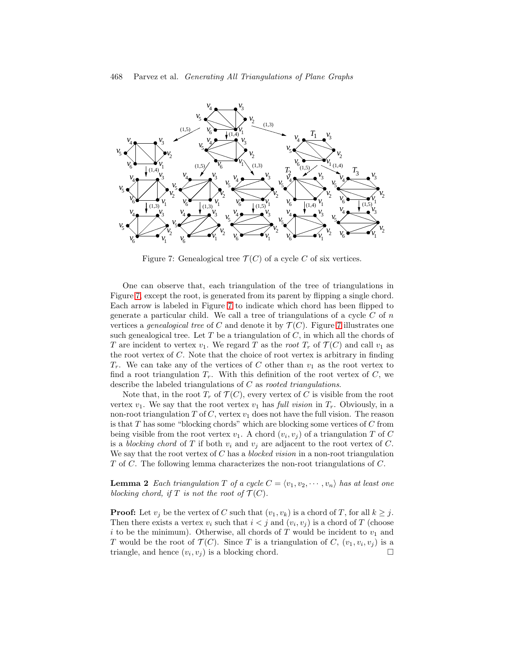

<span id="page-11-0"></span>Figure 7: Genealogical tree  $\mathcal{T}(C)$  of a cycle C of six vertices.

One can observe that, each triangulation of the tree of triangulations in Figure [7,](#page-11-0) except the root, is generated from its parent by flipping a single chord. Each arrow is labeled in Figure [7](#page-11-0) to indicate which chord has been flipped to generate a particular child. We call a tree of triangulations of a cycle  $C$  of  $n$ vertices a *genealogical tree* of C and denote it by  $\mathcal{T}(C)$ . Figure [7](#page-11-0) illustrates one such genealogical tree. Let  $T$  be a triangulation of  $C$ , in which all the chords of T are incident to vertex  $v_1$ . We regard T as the root  $T_r$  of  $\mathcal{T}(C)$  and call  $v_1$  as the root vertex of  $C$ . Note that the choice of root vertex is arbitrary in finding  $T_r$ . We can take any of the vertices of C other than  $v_1$  as the root vertex to find a root triangulation  $T_r$ . With this definition of the root vertex of C, we describe the labeled triangulations of  $C$  as *rooted triangulations*.

Note that, in the root  $T_r$  of  $\mathcal{T}(C)$ , every vertex of C is visible from the root vertex  $v_1$ . We say that the root vertex  $v_1$  has full vision in  $T_r$ . Obviously, in a non-root triangulation T of C, vertex  $v_1$  does not have the full vision. The reason is that T has some "blocking chords" which are blocking some vertices of C from being visible from the root vertex  $v_1$ . A chord  $(v_i, v_j)$  of a triangulation T of C is a blocking chord of T if both  $v_i$  and  $v_j$  are adjacent to the root vertex of C. We say that the root vertex of  $C$  has a *blocked vision* in a non-root triangulation T of C. The following lemma characterizes the non-root triangulations of C.

<span id="page-11-1"></span>**Lemma 2** Each triangulation T of a cycle  $C = \langle v_1, v_2, \dots, v_n \rangle$  has at least one blocking chord, if T is not the root of  $\mathcal{T}(C)$ .

**Proof:** Let  $v_j$  be the vertex of C such that  $(v_1, v_k)$  is a chord of T, for all  $k \geq j$ . Then there exists a vertex  $v_i$  such that  $i < j$  and  $(v_i, v_j)$  is a chord of T (choose i to be the minimum). Otherwise, all chords of T would be incident to  $v_1$  and T would be the root of  $\mathcal{T}(C)$ . Since T is a triangulation of C,  $(v_1, v_i, v_j)$  is a triangle, and hence  $(v_i, v_j)$  is a blocking chord.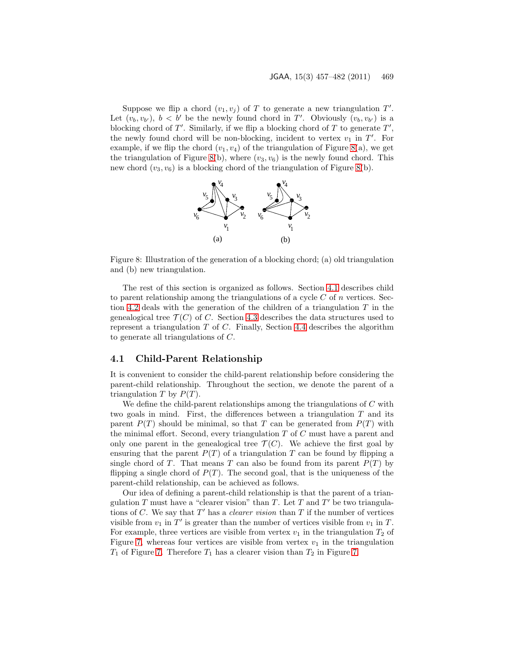Suppose we flip a chord  $(v_1, v_j)$  of T to generate a new triangulation T'. Let  $(v_b, v_{b'})$ ,  $b < b'$  be the newly found chord in T'. Obviously  $(v_b, v_{b'})$  is a blocking chord of  $T'$ . Similarly, if we flip a blocking chord of  $T$  to generate  $T'$ , the newly found chord will be non-blocking, incident to vertex  $v_1$  in T'. For example, if we flip the chord  $(v_1, v_4)$  of the triangulation of Figure [8\(](#page-12-0)a), we get the triangulation of Figure [8\(](#page-12-0)b), where  $(v_3, v_6)$  is the newly found chord. This new chord  $(v_3, v_6)$  is a blocking chord of the triangulation of Figure [8\(](#page-12-0)b).



<span id="page-12-0"></span>Figure 8: Illustration of the generation of a blocking chord; (a) old triangulation and (b) new triangulation.

The rest of this section is organized as follows. Section [4.1](#page-12-1) describes child to parent relationship among the triangulations of a cycle  $C$  of  $n$  vertices. Sec-tion [4.2](#page-13-0) deals with the generation of the children of a triangulation  $T$  in the genealogical tree  $\mathcal{T}(C)$  of C. Section [4.3](#page-17-0) describes the data structures used to represent a triangulation  $T$  of  $C$ . Finally, Section [4.4](#page-17-1) describes the algorithm to generate all triangulations of C.

### <span id="page-12-1"></span>4.1 Child-Parent Relationship

It is convenient to consider the child-parent relationship before considering the parent-child relationship. Throughout the section, we denote the parent of a triangulation T by  $P(T)$ .

We define the child-parent relationships among the triangulations of  $C$  with two goals in mind. First, the differences between a triangulation  $T$  and its parent  $P(T)$  should be minimal, so that T can be generated from  $P(T)$  with the minimal effort. Second, every triangulation  $T$  of  $C$  must have a parent and only one parent in the genealogical tree  $\mathcal{T}(C)$ . We achieve the first goal by ensuring that the parent  $P(T)$  of a triangulation T can be found by flipping a single chord of T. That means T can also be found from its parent  $P(T)$  by flipping a single chord of  $P(T)$ . The second goal, that is the uniqueness of the parent-child relationship, can be achieved as follows.

Our idea of defining a parent-child relationship is that the parent of a triangulation T must have a "clearer vision" than T. Let T and T' be two triangulations of C. We say that  $T'$  has a *clearer vision* than T if the number of vertices visible from  $v_1$  in T' is greater than the number of vertices visible from  $v_1$  in T. For example, three vertices are visible from vertex  $v_1$  in the triangulation  $T_2$  of Figure [7,](#page-11-0) whereas four vertices are visible from vertex  $v_1$  in the triangulation  $T_1$  of Figure [7.](#page-11-0) Therefore  $T_1$  has a clearer vision than  $T_2$  in Figure 7.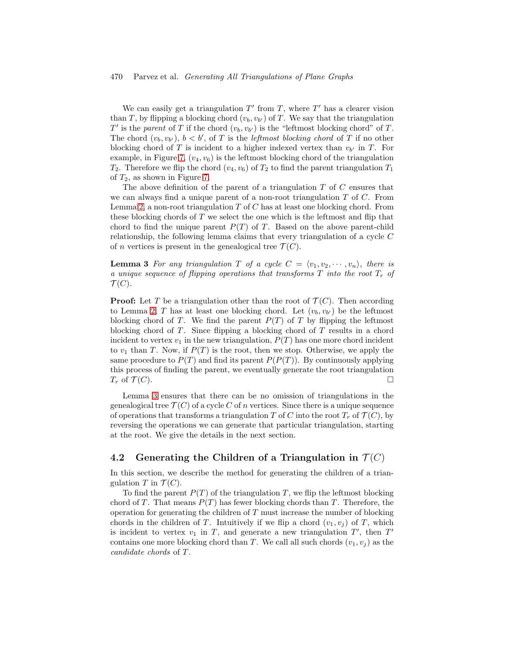#### 470 Parvez et al. Generating All Triangulations of Plane Graphs

We can easily get a triangulation  $T'$  from  $T$ , where  $T'$  has a clearer vision than T, by flipping a blocking chord  $(v_b, v_{b'})$  of T. We say that the triangulation  $T'$  is the parent of T if the chord  $(v_b, v_{b'})$  is the "leftmost blocking chord" of T. The chord  $(v_b, v_{b'})$ ,  $b < b'$ , of T is the *leftmost blocking chord* of T if no other blocking chord of T is incident to a higher indexed vertex than  $v_{b'}$  in T. For example, in Figure [7,](#page-11-0)  $(v_4, v_6)$  is the leftmost blocking chord of the triangulation  $T_2$ . Therefore we flip the chord  $(v_4, v_6)$  of  $T_2$  to find the parent triangulation  $T_1$ of  $T_2$ , as shown in Figure [7.](#page-11-0)

The above definition of the parent of a triangulation  $T$  of  $C$  ensures that we can always find a unique parent of a non-root triangulation  $T$  of  $C$ . From Lemma [2,](#page-11-1) a non-root triangulation  $T$  of  $C$  has at least one blocking chord. From these blocking chords of  $T$  we select the one which is the leftmost and flip that chord to find the unique parent  $P(T)$  of T. Based on the above parent-child relationship, the following lemma claims that every triangulation of a cycle C of *n* vertices is present in the genealogical tree  $\mathcal{T}(C)$ .

<span id="page-13-1"></span>**Lemma 3** For any triangulation T of a cycle  $C = \langle v_1, v_2, \dots, v_n \rangle$ , there is a unique sequence of flipping operations that transforms  $T$  into the root  $T_r$  of  $\mathcal{T}(C)$ .

**Proof:** Let T be a triangulation other than the root of  $\mathcal{T}(C)$ . Then according to Lemma [2,](#page-11-1) T has at least one blocking chord. Let  $(v_b, v_{b'})$  be the leftmost blocking chord of T. We find the parent  $P(T)$  of T by flipping the leftmost blocking chord of  $T$ . Since flipping a blocking chord of  $T$  results in a chord incident to vertex  $v_1$  in the new triangulation,  $P(T)$  has one more chord incident to  $v_1$  than T. Now, if  $P(T)$  is the root, then we stop. Otherwise, we apply the same procedure to  $P(T)$  and find its parent  $P(P(T))$ . By continuously applying this process of finding the parent, we eventually generate the root triangulation  $T_r$  of  $\mathcal{T}(C)$ .

Lemma [3](#page-13-1) ensures that there can be no omission of triangulations in the genealogical tree  $\mathcal{T}(C)$  of a cycle C of n vertices. Since there is a unique sequence of operations that transforms a triangulation T of C into the root  $T_r$  of  $\mathcal{T}(C)$ , by reversing the operations we can generate that particular triangulation, starting at the root. We give the details in the next section.

### <span id="page-13-0"></span>4.2 Generating the Children of a Triangulation in  $\mathcal{T}(C)$

In this section, we describe the method for generating the children of a triangulation T in  $\mathcal{T}(C)$ .

To find the parent  $P(T)$  of the triangulation T, we flip the leftmost blocking chord of T. That means  $P(T)$  has fewer blocking chords than T. Therefore, the operation for generating the children of  $T$  must increase the number of blocking chords in the children of T. Intuitively if we flip a chord  $(v_1, v_i)$  of T, which is incident to vertex  $v_1$  in T, and generate a new triangulation  $T'$ , then  $T'$ contains one more blocking chord than T. We call all such chords  $(v_1, v_i)$  as the candidate chords of T.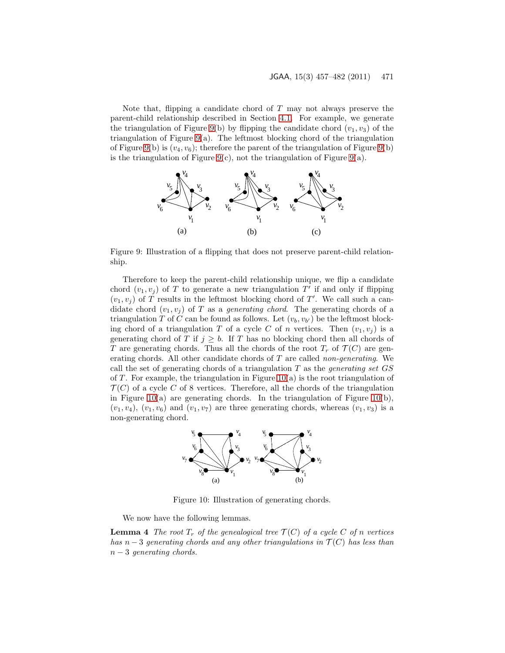Note that, flipping a candidate chord of  $T$  may not always preserve the parent-child relationship described in Section [4.1.](#page-12-1) For example, we generate the triangulation of Figure [9\(](#page-14-0)b) by flipping the candidate chord  $(v_1, v_3)$  of the triangulation of Figure [9\(](#page-14-0)a). The leftmost blocking chord of the triangulation of Figure [9\(](#page-14-0)b) is  $(v_4, v_6)$ ; therefore the parent of the triangulation of Figure 9(b) is the triangulation of Figure [9\(](#page-14-0)c), not the triangulation of Figure 9(a).



<span id="page-14-0"></span>Figure 9: Illustration of a flipping that does not preserve parent-child relationship.

Therefore to keep the parent-child relationship unique, we flip a candidate chord  $(v_1, v_j)$  of T to generate a new triangulation T' if and only if flipping  $(v_1, v_j)$  of T results in the leftmost blocking chord of T'. We call such a candidate chord  $(v_1, v_i)$  of T as a *generating chord*. The generating chords of a triangulation T of C can be found as follows. Let  $(v_b, v_{b'})$  be the leftmost blocking chord of a triangulation T of a cycle C of n vertices. Then  $(v_1, v_i)$  is a generating chord of T if  $j \geq b$ . If T has no blocking chord then all chords of T are generating chords. Thus all the chords of the root  $T_r$  of  $\mathcal{T}(C)$  are generating chords. All other candidate chords of  $T$  are called non-generating. We call the set of generating chords of a triangulation  $T$  as the *generating set GS* of T. For example, the triangulation in Figure [10\(](#page-14-1)a) is the root triangulation of  $\mathcal{T}(C)$  of a cycle C of 8 vertices. Therefore, all the chords of the triangulation in Figure [10\(](#page-14-1)a) are generating chords. In the triangulation of Figure 10(b),  $(v_1, v_4)$ ,  $(v_1, v_6)$  and  $(v_1, v_7)$  are three generating chords, whereas  $(v_1, v_3)$  is a non-generating chord.



<span id="page-14-1"></span>Figure 10: Illustration of generating chords.

We now have the following lemmas.

**Lemma 4** The root  $T_r$  of the genealogical tree  $\mathcal{T}(C)$  of a cycle C of n vertices has  $n-3$  generating chords and any other triangulations in  $\mathcal{T}(C)$  has less than  $n-3$  generating chords.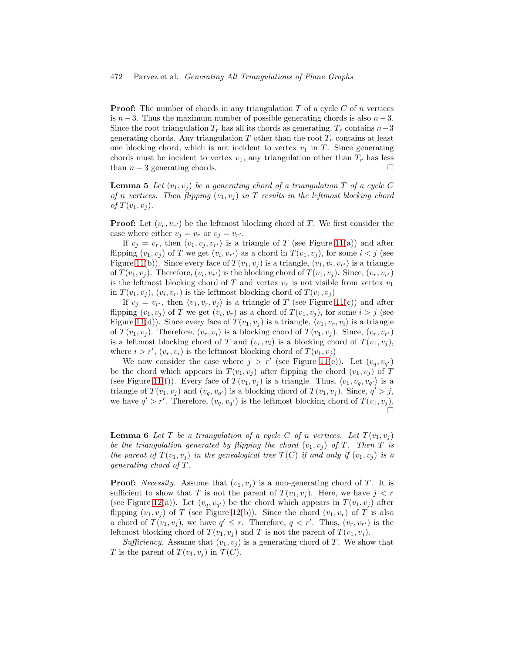**Proof:** The number of chords in any triangulation  $T$  of a cycle  $C$  of  $n$  vertices is  $n-3$ . Thus the maximum number of possible generating chords is also  $n-3$ . Since the root triangulation  $T_r$  has all its chords as generating,  $T_r$  contains  $n-3$ generating chords. Any triangulation  $T$  other than the root  $T_r$  contains at least one blocking chord, which is not incident to vertex  $v_1$  in T. Since generating chords must be incident to vertex  $v_1$ , any triangulation other than  $T_r$  has less than  $n-3$  generating chords.

<span id="page-15-0"></span>**Lemma 5** Let  $(v_1, v_i)$  be a generating chord of a triangulation T of a cycle C of n vertices. Then flipping  $(v_1, v_j)$  in T results in the leftmost blocking chord of  $T(v_1, v_i)$ .

**Proof:** Let  $(v_r, v_{r'})$  be the leftmost blocking chord of T. We first consider the case where either  $v_j = v_r$  or  $v_j = v_{r'}$ .

If  $v_j = v_r$ , then  $\langle v_1, v_j, v_{r'} \rangle$  is a triangle of T (see Figure [11\(](#page-16-0)a)) and after flipping  $(v_1, v_j)$  of T we get  $(v_i, v_{r'})$  as a chord in  $T(v_1, v_j)$ , for some  $i < j$  (see Figure [11\(](#page-16-0)b)). Since every face of  $T(v_1, v_j)$  is a triangle,  $\langle v_1, v_i, v_{r'} \rangle$  is a triangle of  $T(v_1, v_j)$ . Therefore,  $(v_i, v_{r'})$  is the blocking chord of  $T(v_1, v_j)$ . Since,  $(v_r, v_{r'})$ is the leftmost blocking chord of T and vertex  $v_r$  is not visible from vertex  $v_1$ in  $T(v_1, v_j)$ ,  $(v_i, v_{r'})$  is the leftmost blocking chord of  $T(v_1, v_j)$ 

If  $v_j = v_{r'}$ , then  $\langle v_1, v_r, v_j \rangle$  is a triangle of T (see Figure [11\(](#page-16-0)c)) and after flipping  $(v_1, v_j)$  of T we get  $(v_i, v_r)$  as a chord of  $T(v_1, v_j)$ , for some  $i > j$  (see Figure [11\(](#page-16-0)d)). Since every face of  $T(v_1, v_j)$  is a triangle,  $\langle v_1, v_r, v_i \rangle$  is a triangle of  $T(v_1, v_j)$ . Therefore,  $(v_r, v_i)$  is a blocking chord of  $T(v_1, v_j)$ . Since,  $(v_r, v_{r'})$ is a leftmost blocking chord of T and  $(v_r, v_i)$  is a blocking chord of  $T(v_1, v_i)$ , where  $i > r'$ ,  $(v_r, v_i)$  is the leftmost blocking chord of  $T(v_1, v_j)$ 

We now consider the case where  $j > r'$  (see Figure [11\(](#page-16-0)e)). Let  $(v_q, v_{q'})$ be the chord which appears in  $T(v_1, v_j)$  after flipping the chord  $(v_1, v_j)$  of T (see Figure [11\(](#page-16-0)f)). Every face of  $T(v_1, v_j)$  is a triangle. Thus,  $\langle v_1, v_q, v_{q'} \rangle$  is a triangle of  $T(v_1, v_j)$  and  $(v_q, v_{q'})$  is a blocking chord of  $T(v_1, v_j)$ . Since,  $q' > j$ , we have  $q' > r'$ . Therefore,  $(v_q, v_{q'})$  is the leftmost blocking chord of  $T(v_1, v_j)$ . Ò

<span id="page-15-1"></span>**Lemma 6** Let T be a triangulation of a cycle C of n vertices. Let  $T(v_1, v_i)$ be the triangulation generated by flipping the chord  $(v_1, v_i)$  of T. Then T is the parent of  $T(v_1, v_i)$  in the genealogical tree  $\mathcal{T}(C)$  if and only if  $(v_1, v_j)$  is a generating chord of T .

**Proof:** Necessity. Assume that  $(v_1, v_j)$  is a non-generating chord of T. It is sufficient to show that T is not the parent of  $T(v_1, v_j)$ . Here, we have  $j < r$ (see Figure [12\(](#page-16-1)a)). Let  $(v_q, v_{q'})$  be the chord which appears in  $T(v_1, v_j)$  after flipping  $(v_1, v_j)$  of T (see Figure [12\(](#page-16-1)b)). Since the chord  $(v_1, v_r)$  of T is also a chord of  $T(v_1, v_j)$ , we have  $q' \leq r$ . Therefore,  $q < r'$ . Thus,  $(v_r, v_{r'})$  is the leftmost blocking chord of  $T(v_1, v_i)$  and T is not the parent of  $T(v_1, v_i)$ .

Sufficiency. Assume that  $(v_1, v_i)$  is a generating chord of T. We show that T is the parent of  $T(v_1, v_i)$  in  $\mathcal{T}(C)$ .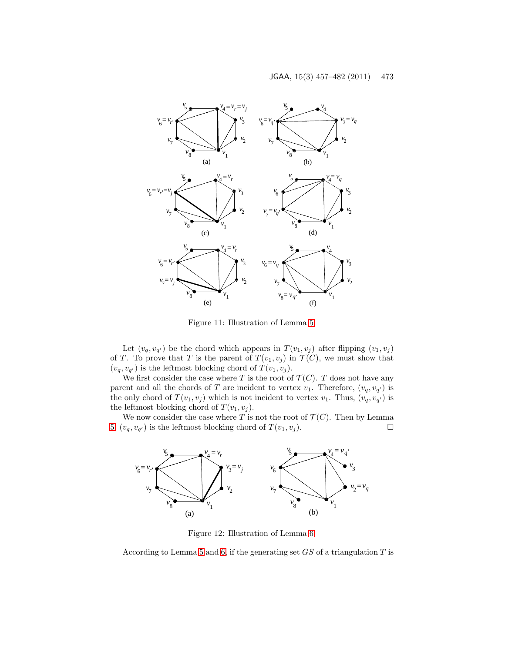

<span id="page-16-0"></span>Figure 11: Illustration of Lemma [5.](#page-15-0)

Let  $(v_q, v_{q'})$  be the chord which appears in  $T(v_1, v_j)$  after flipping  $(v_1, v_j)$ of T. To prove that T is the parent of  $T(v_1, v_i)$  in  $\mathcal{T}(C)$ , we must show that  $(v_q, v_{q'})$  is the leftmost blocking chord of  $T(v_1, v_j)$ .

We first consider the case where T is the root of  $\mathcal{T}(C)$ . T does not have any parent and all the chords of T are incident to vertex  $v_1$ . Therefore,  $(v_q, v_{q'})$  is the only chord of  $T(v_1, v_j)$  which is not incident to vertex  $v_1$ . Thus,  $(v_q, v_{q'})$  is the leftmost blocking chord of  $T(v_1, v_j)$ .

We now consider the case where T is not the root of  $\mathcal{T}(C)$ . Then by Lemma [5,](#page-15-0)  $(v_q, v_{q'})$  is the leftmost blocking chord of  $T(v_1, v_j)$ .



<span id="page-16-1"></span>Figure 12: Illustration of Lemma [6.](#page-15-1)

According to Lemma [5](#page-15-0) and [6,](#page-15-1) if the generating set  $GS$  of a triangulation  $T$  is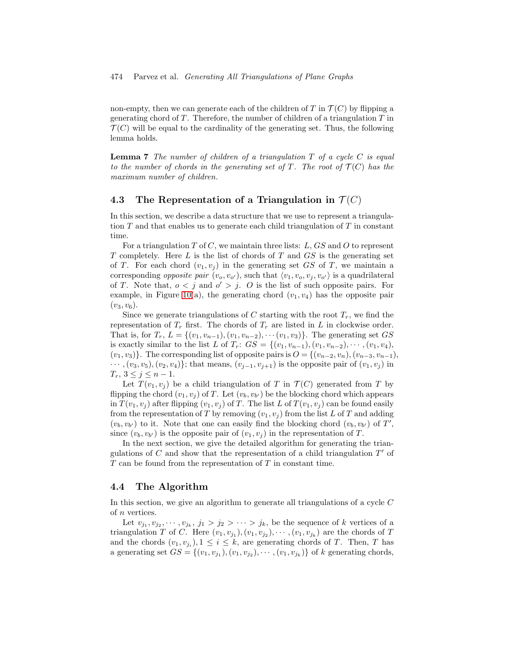non-empty, then we can generate each of the children of T in  $\mathcal{T}(C)$  by flipping a generating chord of  $T$ . Therefore, the number of children of a triangulation  $T$  in  $\mathcal{T}(C)$  will be equal to the cardinality of the generating set. Thus, the following lemma holds.

**Lemma 7** The number of children of a triangulation  $T$  of a cycle  $C$  is equal to the number of chords in the generating set of T. The root of  $\mathcal{T}(C)$  has the maximum number of children.

### <span id="page-17-0"></span>4.3 The Representation of a Triangulation in  $\mathcal{T}(C)$

In this section, we describe a data structure that we use to represent a triangulation  $T$  and that enables us to generate each child triangulation of  $T$  in constant time.

For a triangulation  $T$  of  $C$ , we maintain three lists:  $L$ ,  $GS$  and  $O$  to represent T completely. Here  $L$  is the list of chords of T and  $GS$  is the generating set of T. For each chord  $(v_1, v_j)$  in the generating set GS of T, we maintain a corresponding *opposite pair*  $(v_o, v_{o'})$ , such that  $\langle v_1, v_o, v_j, v_{o'} \rangle$  is a quadrilateral of T. Note that,  $o < j$  and  $o' > j$ . O is the list of such opposite pairs. For example, in Figure [10\(](#page-14-1)a), the generating chord  $(v_1, v_4)$  has the opposite pair  $(v_3, v_6)$ .

Since we generate triangulations of C starting with the root  $T_r$ , we find the representation of  $T_r$  first. The chords of  $T_r$  are listed in L in clockwise order. That is, for  $T_r$ ,  $L = \{(v_1, v_{n-1}), (v_1, v_{n-2}), \cdots, (v_1, v_3)\}$ . The generating set  $GS$ is exactly similar to the list L of  $T_r$ :  $GS = \{(v_1, v_{n-1}), (v_1, v_{n-2}), \cdots, (v_1, v_4)\}$  $(v_1, v_3)$ . The corresponding list of opposite pairs is  $O = \{(v_{n-2}, v_n), (v_{n-3}, v_{n-1})\}$  $\cdots$ ,  $(v_3, v_5)$ ,  $(v_2, v_4)$ }; that means,  $(v_{i-1}, v_{i+1})$  is the opposite pair of  $(v_1, v_i)$  in  $T_r$ ,  $3 \leq j \leq n-1$ .

Let  $T(v_1, v_i)$  be a child triangulation of T in  $T(C)$  generated from T by flipping the chord  $(v_1, v_j)$  of T. Let  $(v_b, v_{b'})$  be the blocking chord which appears in  $T(v_1, v_j)$  after flipping  $(v_1, v_j)$  of T. The list L of  $T(v_1, v_j)$  can be found easily from the representation of T by removing  $(v_1, v_j)$  from the list L of T and adding  $(v_b, v_{b'})$  to it. Note that one can easily find the blocking chord  $(v_b, v_{b'})$  of  $T'$ , since  $(v_b, v_{b'})$  is the opposite pair of  $(v_1, v_j)$  in the representation of T.

In the next section, we give the detailed algorithm for generating the triangulations of  $C$  and show that the representation of a child triangulation  $T'$  of  $T$  can be found from the representation of  $T$  in constant time.

### <span id="page-17-1"></span>4.4 The Algorithm

In this section, we give an algorithm to generate all triangulations of a cycle  $C$ of n vertices.

Let  $v_{j_1}, v_{j_2}, \dots, v_{j_k}, j_1 > j_2 > \dots > j_k$ , be the sequence of k vertices of a triangulation T of C. Here  $(v_1, v_{j_1}), (v_1, v_{j_2}), \cdots, (v_1, v_{j_k})$  are the chords of T and the chords  $(v_1, v_{j_i}), 1 \leq i \leq k$ , are generating chords of T. Then, T has a generating set  $GS = \{(v_1, v_{j_1}), (v_1, v_{j_2}), \cdots, (v_1, v_{j_k})\}$  of k generating chords,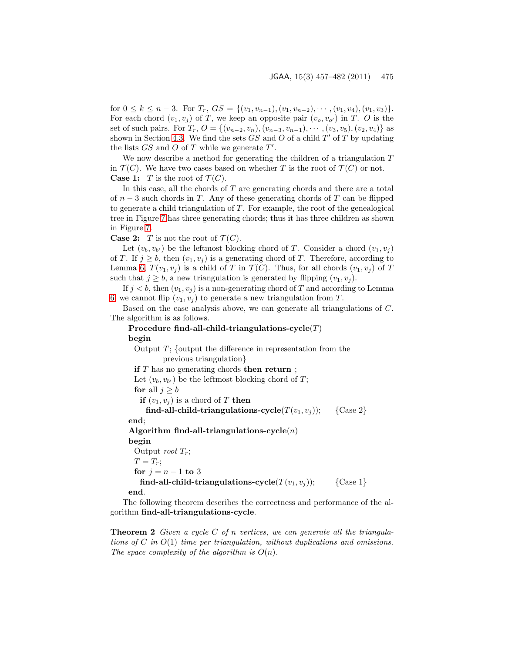for  $0 \le k \le n-3$ . For  $T_r$ ,  $GS = \{(v_1, v_{n-1}), (v_1, v_{n-2}), \cdots, (v_1, v_4), (v_1, v_3)\}.$ For each chord  $(v_1, v_i)$  of T, we keep an opposite pair  $(v_0, v_{o'})$  in T. O is the set of such pairs. For  $T_r$ ,  $O = \{(v_{n-2}, v_n), (v_{n-3}, v_{n-1}), \cdots, (v_3, v_5), (v_2, v_4)\}\$ as shown in Section [4.3.](#page-17-0) We find the sets  $GS$  and O of a child  $T'$  of T by updating the lists  $GS$  and  $O$  of  $T$  while we generate  $T'$ .

We now describe a method for generating the children of a triangulation T in  $\mathcal{T}(C)$ . We have two cases based on whether T is the root of  $\mathcal{T}(C)$  or not. **Case 1:** T is the root of  $\mathcal{T}(C)$ .

In this case, all the chords of  $T$  are generating chords and there are a total of  $n-3$  such chords in T. Any of these generating chords of T can be flipped to generate a child triangulation of  $T$ . For example, the root of the genealogical tree in Figure [7](#page-11-0) has three generating chords; thus it has three children as shown in Figure [7.](#page-11-0)

**Case 2:** T is not the root of  $\mathcal{T}(C)$ .

Let  $(v_b, v_{b'})$  be the leftmost blocking chord of T. Consider a chord  $(v_1, v_j)$ of T. If  $j \ge b$ , then  $(v_1, v_j)$  is a generating chord of T. Therefore, according to Lemma [6,](#page-15-1)  $T(v_1, v_i)$  is a child of T in  $\mathcal{T}(C)$ . Thus, for all chords  $(v_1, v_i)$  of T such that  $j > b$ , a new triangulation is generated by flipping  $(v_1, v_j)$ .

If  $j < b$ , then  $(v_1, v_j)$  is a non-generating chord of T and according to Lemma [6,](#page-15-1) we cannot flip  $(v_1, v_i)$  to generate a new triangulation from T.

Based on the case analysis above, we can generate all triangulations of C. The algorithm is as follows.

Procedure find-all-child-triangulations-cycle $(T)$ begin Output  $T$ ; {output the difference in representation from the previous triangulation} if T has no generating chords then return ; Let  $(v_b, v_{b'})$  be the leftmost blocking chord of T; for all  $j \geq b$ if  $(v_1, v_i)$  is a chord of T then find-all-child-triangulations-cycle( $T(v_1, v_i)$ ); {Case 2} end; Algorithm find-all-triangulations-cycle $(n)$ begin Output *root*  $T_r$ ;  $T = T_r$ ; for  $j = n - 1$  to 3 find-all-child-triangulations-cycle( $T(v_1, v_j)$ ); {Case 1} end.

The following theorem describes the correctness and performance of the algorithm find-all-triangulations-cycle.

**Theorem 2** Given a cycle C of n vertices, we can generate all the triangulations of C in  $O(1)$  time per triangulation, without duplications and omissions. The space complexity of the algorithm is  $O(n)$ .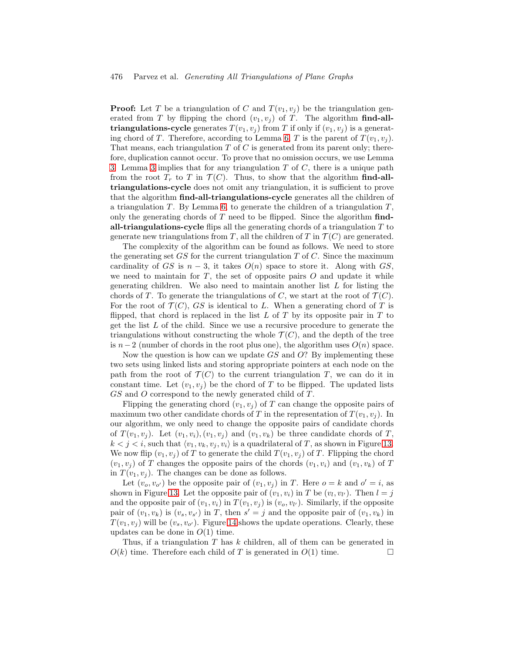**Proof:** Let T be a triangulation of C and  $T(v_1, v_j)$  be the triangulation generated from T by flipping the chord  $(v_1, v_j)$  of T. The algorithm find-alltriangulations-cycle generates  $T(v_1, v_i)$  from T if only if  $(v_1, v_i)$  is a generat-ing chord of T. Therefore, according to Lemma [6,](#page-15-1) T is the parent of  $T(v_1, v_i)$ . That means, each triangulation  $T$  of  $C$  is generated from its parent only; therefore, duplication cannot occur. To prove that no omission occurs, we use Lemma [3.](#page-13-1) Lemma [3](#page-13-1) implies that for any triangulation  $T$  of  $C$ , there is a unique path from the root  $T_r$  to T in  $\mathcal{T}(C)$ . Thus, to show that the algorithm find-alltriangulations-cycle does not omit any triangulation, it is sufficient to prove that the algorithm find-all-triangulations-cycle generates all the children of a triangulation  $T$ . By Lemma [6,](#page-15-1) to generate the children of a triangulation  $T$ , only the generating chords of  $T$  need to be flipped. Since the algorithm  $find$ all-triangulations-cycle flips all the generating chords of a triangulation  $T$  to generate new triangulations from T, all the children of T in  $\mathcal{T}(C)$  are generated.

The complexity of the algorithm can be found as follows. We need to store the generating set  $GS$  for the current triangulation T of C. Since the maximum cardinality of GS is  $n-3$ , it takes  $O(n)$  space to store it. Along with GS, we need to maintain for  $T$ , the set of opposite pairs  $O$  and update it while generating children. We also need to maintain another list  $L$  for listing the chords of T. To generate the triangulations of C, we start at the root of  $\mathcal{T}(C)$ . For the root of  $\mathcal{T}(C)$ , GS is identical to L. When a generating chord of T is flipped, that chord is replaced in the list  $L$  of  $T$  by its opposite pair in  $T$  to get the list L of the child. Since we use a recursive procedure to generate the triangulations without constructing the whole  $\mathcal{T}(C)$ , and the depth of the tree is  $n-2$  (number of chords in the root plus one), the algorithm uses  $O(n)$  space.

Now the question is how can we update  $GS$  and  $O$ ? By implementing these two sets using linked lists and storing appropriate pointers at each node on the path from the root of  $\mathcal{T}(C)$  to the current triangulation T, we can do it in constant time. Let  $(v_1, v_i)$  be the chord of T to be flipped. The updated lists  $GS$  and  $O$  correspond to the newly generated child of  $T$ .

Flipping the generating chord  $(v_1, v_i)$  of T can change the opposite pairs of maximum two other candidate chords of T in the representation of  $T(v_1, v_i)$ . In our algorithm, we only need to change the opposite pairs of candidate chords of  $T(v_1, v_i)$ . Let  $(v_1, v_i)$ ,  $(v_1, v_i)$  and  $(v_1, v_k)$  be three candidate chords of T,  $k < j < i$ , such that  $\langle v_1, v_k, v_j, v_i \rangle$  is a quadrilateral of T, as shown in Figure [13.](#page-20-1) We now flip  $(v_1, v_i)$  of T to generate the child  $T(v_1, v_i)$  of T. Flipping the chord  $(v_1, v_i)$  of T changes the opposite pairs of the chords  $(v_1, v_i)$  and  $(v_1, v_k)$  of T in  $T(v_1, v_i)$ . The changes can be done as follows.

Let  $(v_0, v_{o'})$  be the opposite pair of  $(v_1, v_j)$  in T. Here  $o = k$  and  $o' = i$ , as shown in Figure [13.](#page-20-1) Let the opposite pair of  $(v_1, v_i)$  in T be  $(v_l, v_{l'})$ . Then  $l = j$ and the opposite pair of  $(v_1, v_i)$  in  $T(v_1, v_j)$  is  $(v_o, v_{l'})$ . Similarly, if the opposite pair of  $(v_1, v_k)$  is  $(v_s, v_{s'})$  in T, then  $s' = j$  and the opposite pair of  $(v_1, v_k)$  in  $T(v_1, v_i)$  will be  $(v_s, v_{o'})$ . Figure [14](#page-20-2) shows the update operations. Clearly, these updates can be done in  $O(1)$  time.

Thus, if a triangulation T has k children, all of them can be generated in  $O(k)$  time. Therefore each child of T is generated in  $O(1)$  time.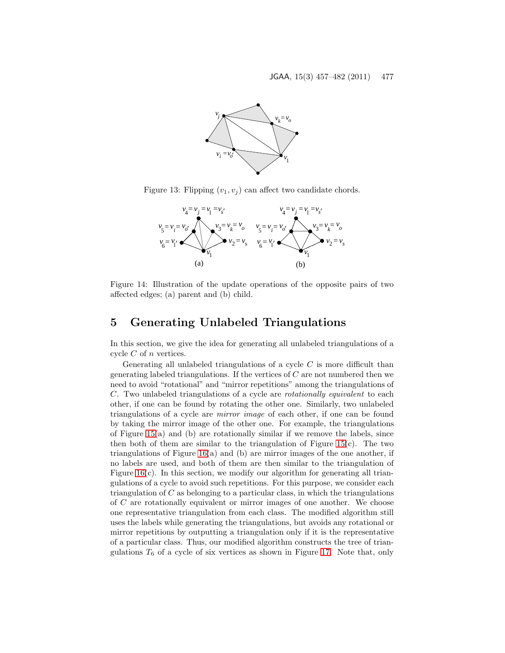

Figure 13: Flipping  $(v_1, v_j)$  can affect two candidate chords.

<span id="page-20-1"></span>

<span id="page-20-2"></span>Figure 14: Illustration of the update operations of the opposite pairs of two affected edges; (a) parent and (b) child.

# <span id="page-20-0"></span>5 Generating Unlabeled Triangulations

In this section, we give the idea for generating all unlabeled triangulations of a cycle  $C$  of  $n$  vertices.

Generating all unlabeled triangulations of a cycle  $C$  is more difficult than generating labeled triangulations. If the vertices of  $C$  are not numbered then we need to avoid "rotational" and "mirror repetitions" among the triangulations of C. Two unlabeled triangulations of a cycle are rotationally equivalent to each other, if one can be found by rotating the other one. Similarly, two unlabeled triangulations of a cycle are mirror image of each other, if one can be found by taking the mirror image of the other one. For example, the triangulations of Figure  $15(a)$  and (b) are rotationally similar if we remove the labels, since then both of them are similar to the triangulation of Figure 15 $(c)$ . The two triangulations of Figure [16\(](#page-21-1)a) and (b) are mirror images of the one another, if no labels are used, and both of them are then similar to the triangulation of Figure  $16(c)$ . In this section, we modify our algorithm for generating all triangulations of a cycle to avoid such repetitions. For this purpose, we consider each triangulation of  $C$  as belonging to a particular class, in which the triangulations of C are rotationally equivalent or mirror images of one another. We choose one representative triangulation from each class. The modified algorithm still uses the labels while generating the triangulations, but avoids any rotational or mirror repetitions by outputting a triangulation only if it is the representative of a particular class. Thus, our modified algorithm constructs the tree of triangulations  $T_6$  of a cycle of six vertices as shown in Figure [17.](#page-21-2) Note that, only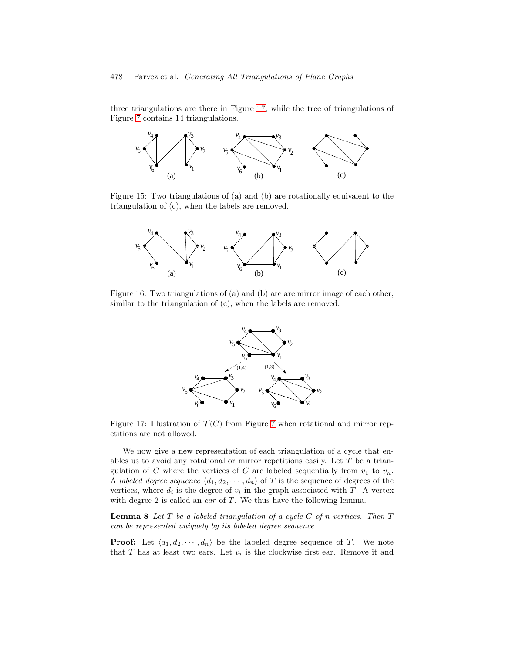three triangulations are there in Figure [17,](#page-21-2) while the tree of triangulations of Figure [7](#page-11-0) contains 14 triangulations.



Figure 15: Two triangulations of (a) and (b) are rotationally equivalent to the triangulation of (c), when the labels are removed.

<span id="page-21-0"></span>

Figure 16: Two triangulations of (a) and (b) are are mirror image of each other, similar to the triangulation of (c), when the labels are removed.

<span id="page-21-1"></span>

<span id="page-21-2"></span>Figure 17: Illustration of  $\mathcal{T}(C)$  from Figure [7](#page-11-0) when rotational and mirror repetitions are not allowed.

We now give a new representation of each triangulation of a cycle that enables us to avoid any rotational or mirror repetitions easily. Let T be a triangulation of C where the vertices of C are labeled sequentially from  $v_1$  to  $v_n$ . A labeled degree sequence  $\langle d_1, d_2, \cdots, d_n \rangle$  of T is the sequence of degrees of the vertices, where  $d_i$  is the degree of  $v_i$  in the graph associated with T. A vertex with degree 2 is called an ear of  $T$ . We thus have the following lemma.

**Lemma 8** Let  $T$  be a labeled triangulation of a cycle  $C$  of n vertices. Then  $T$ can be represented uniquely by its labeled degree sequence.

**Proof:** Let  $\langle d_1, d_2, \cdots, d_n \rangle$  be the labeled degree sequence of T. We note that T has at least two ears. Let  $v_i$  is the clockwise first ear. Remove it and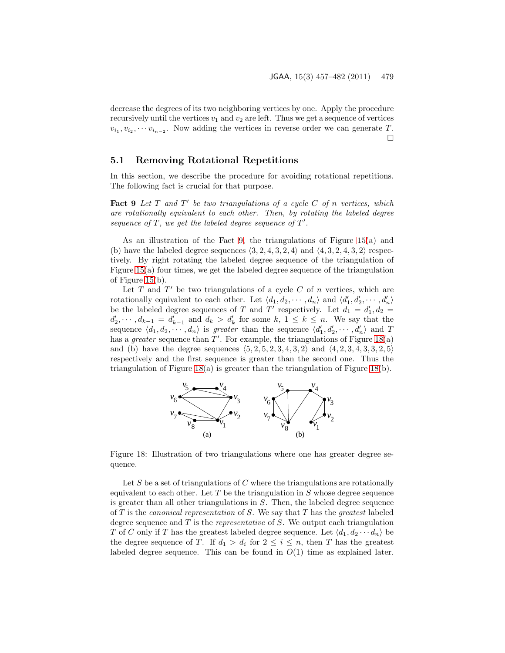decrease the degrees of its two neighboring vertices by one. Apply the procedure recursively until the vertices  $v_1$  and  $v_2$  are left. Thus we get a sequence of vertices  $v_{i_1}, v_{i_2}, \cdots v_{i_{n-2}}$ . Now adding the vertices in reverse order we can generate T.  $\Box$ 

#### 5.1 Removing Rotational Repetitions

<span id="page-22-0"></span>In this section, we describe the procedure for avoiding rotational repetitions. The following fact is crucial for that purpose.

Fact 9 Let  $T$  and  $T'$  be two triangulations of a cycle  $C$  of n vertices, which are rotationally equivalent to each other. Then, by rotating the labeled degree sequence of  $T$ , we get the labeled degree sequence of  $T'$ .

As an illustration of the Fact [9,](#page-22-0) the triangulations of Figure [15\(](#page-21-0)a) and (b) have the labeled degree sequences  $\langle 3, 2, 4, 3, 2, 4 \rangle$  and  $\langle 4, 3, 2, 4, 3, 2 \rangle$  respectively. By right rotating the labeled degree sequence of the triangulation of Figure [15\(](#page-21-0)a) four times, we get the labeled degree sequence of the triangulation of Figure [15\(](#page-21-0)b).

Let T and  $T'$  be two triangulations of a cycle C of n vertices, which are rotationally equivalent to each other. Let  $\langle d_1, d_2, \cdots, d_n \rangle$  and  $\langle d'_1, d'_2, \cdots, d'_n \rangle$ be the labeled degree sequences of T and T' respectively. Let  $d_1 = d'_1, d_2 =$  $d'_2, \dots, d_{k-1} = d'_{k-1}$  and  $d_k > d'_k$  for some  $k, 1 \leq k \leq n$ . We say that the sequence  $\langle d_1, d_2, \cdots, d_n \rangle$  is greater than the sequence  $\langle d'_1, d'_2, \cdots, d'_n \rangle$  and T has a *greater* sequence than  $T'$ . For example, the triangulations of Figure [18\(](#page-22-1)a) and (b) have the degree sequences  $(5, 2, 5, 2, 3, 4, 3, 2)$  and  $(4, 2, 3, 4, 3, 3, 2, 5)$ respectively and the first sequence is greater than the second one. Thus the triangulation of Figure [18\(](#page-22-1)a) is greater than the triangulation of Figure [18\(](#page-22-1)b).



<span id="page-22-1"></span>Figure 18: Illustration of two triangulations where one has greater degree sequence.

Let S be a set of triangulations of C where the triangulations are rotationally equivalent to each other. Let  $T$  be the triangulation in  $S$  whose degree sequence is greater than all other triangulations in  $S$ . Then, the labeled degree sequence of  $T$  is the *canonical representation* of  $S$ . We say that  $T$  has the *greatest* labeled degree sequence and  $T$  is the *representative* of  $S$ . We output each triangulation T of C only if T has the greatest labeled degree sequence. Let  $\langle d_1, d_2 \cdots d_n \rangle$  be the degree sequence of T. If  $d_1 > d_i$  for  $2 \leq i \leq n$ , then T has the greatest labeled degree sequence. This can be found in  $O(1)$  time as explained later.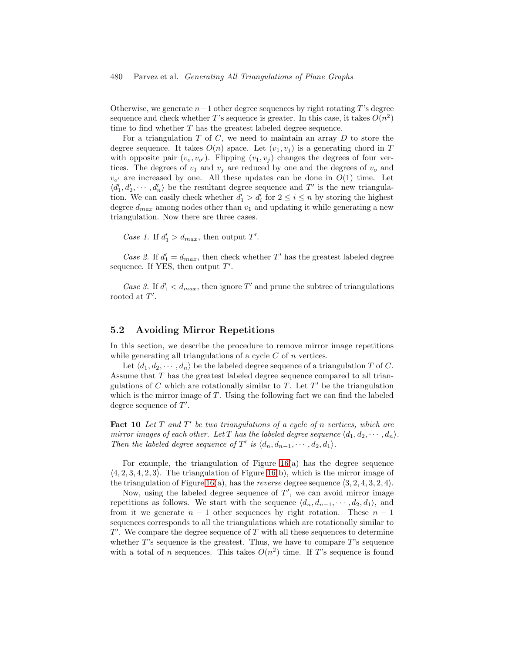Otherwise, we generate  $n-1$  other degree sequences by right rotating T's degree sequence and check whether T's sequence is greater. In this case, it takes  $O(n^2)$ time to find whether T has the greatest labeled degree sequence.

For a triangulation  $T$  of  $C$ , we need to maintain an array  $D$  to store the degree sequence. It takes  $O(n)$  space. Let  $(v_1, v_i)$  is a generating chord in T with opposite pair  $(v_0, v_{o'})$ . Flipping  $(v_1, v_j)$  changes the degrees of four vertices. The degrees of  $v_1$  and  $v_j$  are reduced by one and the degrees of  $v_o$  and  $v_{o'}$  are increased by one. All these updates can be done in  $O(1)$  time. Let  $\langle d'_1, d'_2, \cdots, d'_n \rangle$  be the resultant degree sequence and T' is the new triangulation. We can easily check whether  $d'_1 > d'_i$  for  $2 \leq i \leq n$  by storing the highest degree  $d_{max}$  among nodes other than  $v_1$  and updating it while generating a new triangulation. Now there are three cases.

Case 1. If  $d'_1 > d_{max}$ , then output T'.

Case 2. If  $d_1' = d_{max}$ , then check whether T' has the greatest labeled degree sequence. If YES, then output  $T'$ .

Case 3. If  $d_1' < d_{max}$ , then ignore T' and prune the subtree of triangulations rooted at  $T'$ .

### 5.2 Avoiding Mirror Repetitions

In this section, we describe the procedure to remove mirror image repetitions while generating all triangulations of a cycle  $C$  of  $n$  vertices.

Let  $\langle d_1, d_2, \cdots, d_n \rangle$  be the labeled degree sequence of a triangulation T of C. Assume that T has the greatest labeled degree sequence compared to all triangulations of C which are rotationally similar to  $\overline{T}$ . Let  $T'$  be the triangulation which is the mirror image of  $T$ . Using the following fact we can find the labeled degree sequence of  $T'$ .

Fact 10 Let  $T$  and  $T'$  be two triangulations of a cycle of n vertices, which are mirror images of each other. Let T has the labeled degree sequence  $\langle d_1, d_2, \cdots, d_n \rangle$ . Then the labeled degree sequence of  $T'$  is  $\langle d_n, d_{n-1}, \cdots, d_2, d_1 \rangle$ .

For example, the triangulation of Figure  $16(a)$  has the degree sequence  $(4, 2, 3, 4, 2, 3)$ . The triangulation of Figure [16\(](#page-21-1)b), which is the mirror image of the triangulation of Figure [16\(](#page-21-1)a), has the *reverse* degree sequence  $\langle 3, 2, 4, 3, 2, 4 \rangle$ .

Now, using the labeled degree sequence of  $T'$ , we can avoid mirror image repetitions as follows. We start with the sequence  $\langle d_n, d_{n-1}, \cdots, d_2, d_1 \rangle$ , and from it we generate  $n-1$  other sequences by right rotation. These  $n-1$ sequences corresponds to all the triangulations which are rotationally similar to  $T'$ . We compare the degree sequence of T with all these sequences to determine whether  $T$ 's sequence is the greatest. Thus, we have to compare  $T$ 's sequence with a total of n sequences. This takes  $O(n^2)$  time. If T's sequence is found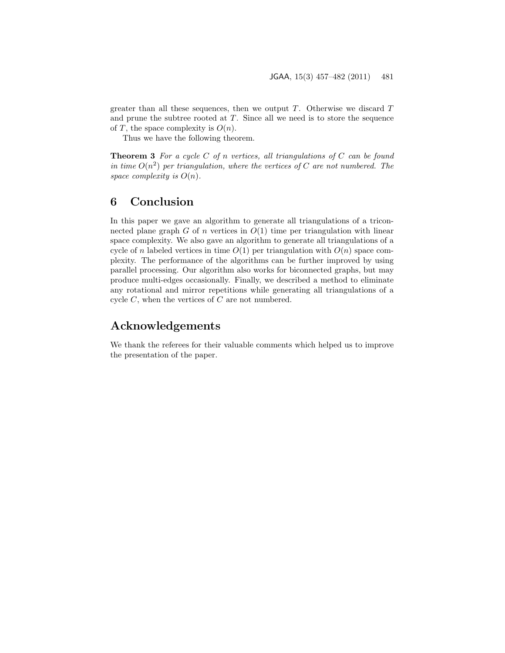greater than all these sequences, then we output  $T$ . Otherwise we discard  $T$ and prune the subtree rooted at  $T$ . Since all we need is to store the sequence of T, the space complexity is  $O(n)$ .

Thus we have the following theorem.

**Theorem 3** For a cycle C of n vertices, all triangulations of C can be found in time  $O(n^2)$  per triangulation, where the vertices of C are not numbered. The space complexity is  $O(n)$ .

# <span id="page-24-0"></span>6 Conclusion

In this paper we gave an algorithm to generate all triangulations of a triconnected plane graph  $G$  of  $n$  vertices in  $O(1)$  time per triangulation with linear space complexity. We also gave an algorithm to generate all triangulations of a cycle of n labeled vertices in time  $O(1)$  per triangulation with  $O(n)$  space complexity. The performance of the algorithms can be further improved by using parallel processing. Our algorithm also works for biconnected graphs, but may produce multi-edges occasionally. Finally, we described a method to eliminate any rotational and mirror repetitions while generating all triangulations of a cycle  $C$ , when the vertices of  $C$  are not numbered.

# Acknowledgements

We thank the referees for their valuable comments which helped us to improve the presentation of the paper.